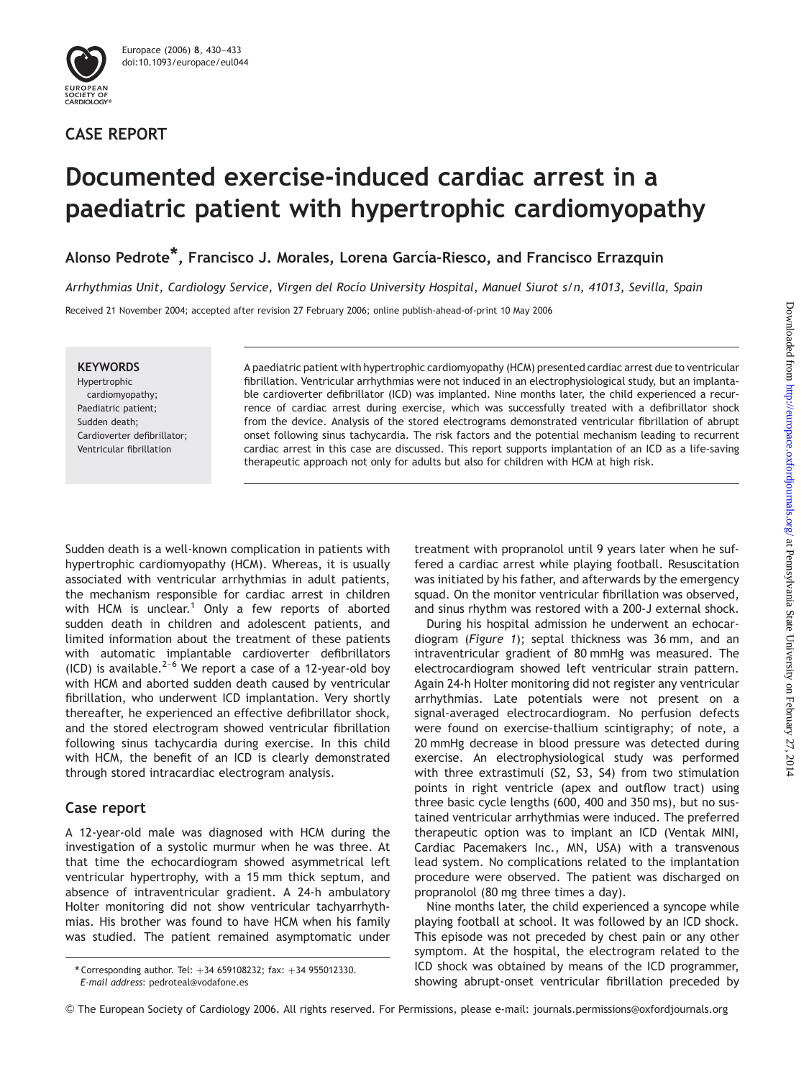

## CASE REPORT

# Documented exercise-induced cardiac arrest in a paediatric patient with hypertrophic cardiomyopathy

Alonso Pedrote<sup>\*</sup>, Francisco J. Morales, Lorena García-Riesco, and Francisco Errazquin

Arrhythmias Unit, Cardiology Service, Virgen del Rocío University Hospital, Manuel Siurot s/n, 41013, Sevilla, Spain

Received 21 November 2004; accepted after revision 27 February 2006; online publish-ahead-of-print 10 May 2006

#### **KEYWORDS**

Hypertrophic cardiomyopathy; Paediatric patient; Sudden death; Cardioverter defibrillator; Ventricular fibrillation

A paediatric patient with hypertrophic cardiomyopathy (HCM) presented cardiac arrest due to ventricular fibrillation. Ventricular arrhythmias were not induced in an electrophysiological study, but an implantable cardioverter defibrillator (ICD) was implanted. Nine months later, the child experienced a recurrence of cardiac arrest during exercise, which was successfully treated with a defibrillator shock from the device. Analysis of the stored electrograms demonstrated ventricular fibrillation of abrupt onset following sinus tachycardia. The risk factors and the potential mechanism leading to recurrent cardiac arrest in this case are discussed. This report supports implantation of an ICD as a life-saving therapeutic approach not only for adults but also for children with HCM at high risk.

Sudden death is a well-known complication in patients with hypertrophic cardiomyopathy (HCM). Whereas, it is usually associated with ventricular arrhythmias in adult patients, the mechanism responsible for cardiac arrest in children with HCM is unclear.<sup>1</sup> Only a few reports of aborted sudden death in children and adolescent patients, and limited information about the treatment of these patients with automatic implantable cardioverter defibrillators<br>(ICD) is available.<sup>2–6</sup> We report a case of a 12-year-old boy with HCM and aborted sudden death caused by ventricular fibrillation, who underwent ICD implantation. Very shortly thereafter, he experienced an effective defibrillator shock, and the stored electrogram showed ventricular fibrillation following sinus tachycardia during exercise. In this child with HCM, the benefit of an ICD is clearly demonstrated through stored intracardiac electrogram analysis.

## Case report

A 12-year-old male was diagnosed with HCM during the investigation of a systolic murmur when he was three. At that time the echocardiogram showed asymmetrical left ventricular hypertrophy, with a 15 mm thick septum, and absence of intraventricular gradient. A 24-h ambulatory Holter monitoring did not show ventricular tachyarrhythmias. His brother was found to have HCM when his family was studied. The patient remained asymptomatic under treatment with propranolol until 9 years later when he suffered a cardiac arrest while playing football. Resuscitation was initiated by his father, and afterwards by the emergency squad. On the monitor ventricular fibrillation was observed, and sinus rhythm was restored with a 200-J external shock.

During his hospital admission he underwent an echocardiogram (Figure 1); septal thickness was 36 mm, and an intraventricular gradient of 80 mmHg was measured. The electrocardiogram showed left ventricular strain pattern. Again 24-h Holter monitoring did not register any ventricular arrhythmias. Late potentials were not present on a signal-averaged electrocardiogram. No perfusion defects were found on exercise-thallium scintigraphy; of note, a 20 mmHg decrease in blood pressure was detected during exercise. An electrophysiological study was performed with three extrastimuli (S2, S3, S4) from two stimulation points in right ventricle (apex and outflow tract) using three basic cycle lengths (600, 400 and 350 ms), but no sustained ventricular arrhythmias were induced. The preferred therapeutic option was to implant an ICD (Ventak MINI, Cardiac Pacemakers Inc., MN, USA) with a transvenous lead system. No complications related to the implantation procedure were observed. The patient was discharged on propranolol (80 mg three times a day).

Nine months later, the child experienced a syncope while playing football at school. It was followed by an ICD shock. This episode was not preceded by chest pain or any other symptom. At the hospital, the electrogram related to the ICD shock was obtained by means of the ICD programmer, showing abrupt-onset ventricular fibrillation preceded by

<sup>\*</sup> Corresponding author. Tel:  $+34$  659108232; fax:  $+34$  955012330. E-mail address: pedroteal@vodafone.es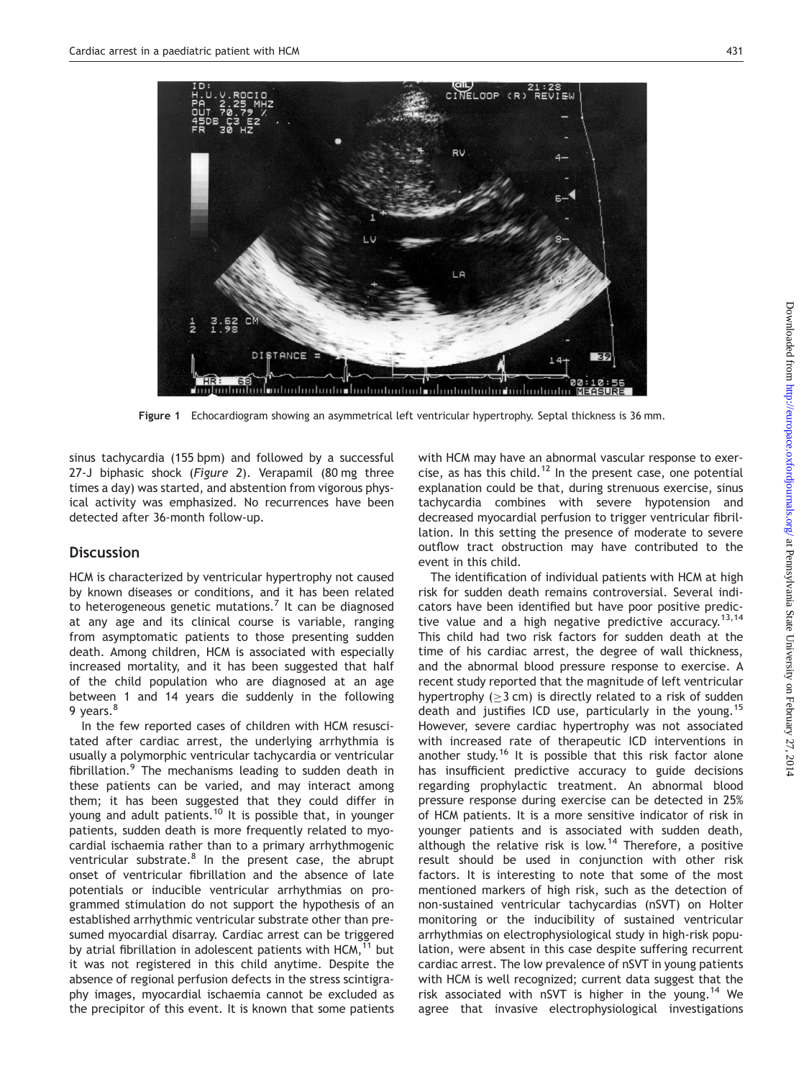

Figure 1 Echocardiogram showing an asymmetrical left ventricular hypertrophy. Septal thickness is 36 mm.

sinus tachycardia (155 bpm) and followed by a successful 27-J biphasic shock (Figure 2). Verapamil (80 mg three times a day) was started, and abstention from vigorous physical activity was emphasized. No recurrences have been detected after 36-month follow-up.

### **Discussion**

HCM is characterized by ventricular hypertrophy not caused by known diseases or conditions, and it has been related to heterogeneous genetic mutations.<sup>7</sup> It can be diagnosed at any age and its clinical course is variable, ranging from asymptomatic patients to those presenting sudden death. Among children, HCM is associated with especially increased mortality, and it has been suggested that half of the child population who are diagnosed at an age between 1 and 14 years die suddenly in the following 9 years.<sup>8</sup>

In the few reported cases of children with HCM resuscitated after cardiac arrest, the underlying arrhythmia is usually a polymorphic ventricular tachycardia or ventricular fibrillation. $9$  The mechanisms leading to sudden death in these patients can be varied, and may interact among them; it has been suggested that they could differ in young and adult patients.<sup>10</sup> It is possible that, in younger patients, sudden death is more frequently related to myocardial ischaemia rather than to a primary arrhythmogenic ventricular substrate. $8$  In the present case, the abrupt onset of ventricular fibrillation and the absence of late potentials or inducible ventricular arrhythmias on programmed stimulation do not support the hypothesis of an established arrhythmic ventricular substrate other than presumed myocardial disarray. Cardiac arrest can be triggered by atrial fibrillation in adolescent patients with  $HCM<sub>1</sub><sup>11</sup>$  but it was not registered in this child anytime. Despite the absence of regional perfusion defects in the stress scintigraphy images, myocardial ischaemia cannot be excluded as the precipitor of this event. It is known that some patients with HCM may have an abnormal vascular response to exercise, as has this child.<sup>12</sup> In the present case, one potential explanation could be that, during strenuous exercise, sinus tachycardia combines with severe hypotension and decreased myocardial perfusion to trigger ventricular fibrillation. In this setting the presence of moderate to severe outflow tract obstruction may have contributed to the event in this child.

The identification of individual patients with HCM at high risk for sudden death remains controversial. Several indicators have been identified but have poor positive predictive value and a high negative predictive accuracy.<sup>13,14</sup> This child had two risk factors for sudden death at the time of his cardiac arrest, the degree of wall thickness, and the abnormal blood pressure response to exercise. A recent study reported that the magnitude of left ventricular hypertrophy  $( \geq 3$  cm) is directly related to a risk of sudden death and justifies ICD use, particularly in the young.<sup>15</sup> However, severe cardiac hypertrophy was not associated with increased rate of therapeutic ICD interventions in another study.<sup>16</sup> It is possible that this risk factor alone has insufficient predictive accuracy to guide decisions regarding prophylactic treatment. An abnormal blood pressure response during exercise can be detected in 25% of HCM patients. It is a more sensitive indicator of risk in younger patients and is associated with sudden death, although the relative risk is low.<sup>14</sup> Therefore, a positive result should be used in conjunction with other risk factors. It is interesting to note that some of the most mentioned markers of high risk, such as the detection of non-sustained ventricular tachycardias (nSVT) on Holter monitoring or the inducibility of sustained ventricular arrhythmias on electrophysiological study in high-risk population, were absent in this case despite suffering recurrent cardiac arrest. The low prevalence of nSVT in young patients with HCM is well recognized; current data suggest that the risk associated with nSVT is higher in the young.14 We agree that invasive electrophysiological investigations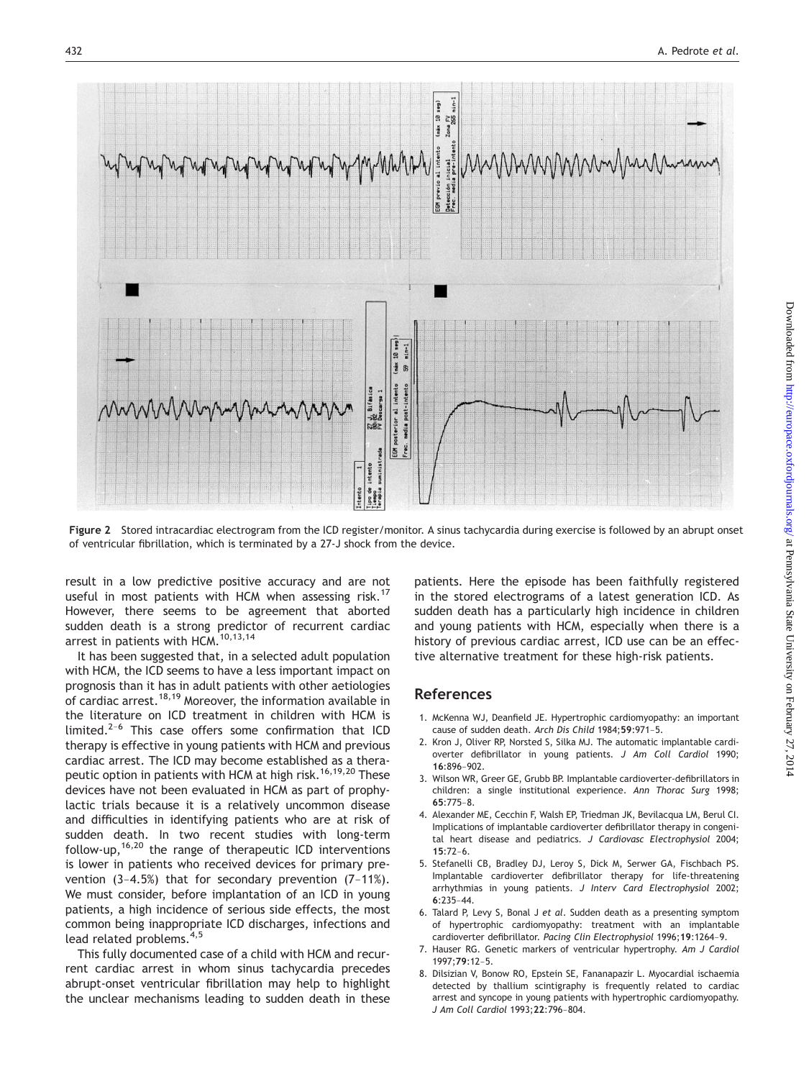

Figure 2 Stored intracardiac electrogram from the ICD register/monitor. A sinus tachycardia during exercise is followed by an abrupt onset of ventricular fibrillation, which is terminated by a 27-J shock from the device.

result in a low predictive positive accuracy and are not useful in most patients with HCM when assessing risk.<sup>17</sup> However, there seems to be agreement that aborted sudden death is a strong predictor of recurrent cardiac arrest in patients with HCM.<sup>10,13,14</sup>

It has been suggested that, in a selected adult population with HCM, the ICD seems to have a less important impact on prognosis than it has in adult patients with other aetiologies of cardiac arrest.<sup>18,19</sup> Moreover, the information available in the literature on ICD treatment in children with HCM is limited.<sup>2–6</sup> This case offers some confirmation that ICD therapy is effective in young patients with HCM and previous cardiac arrest. The ICD may become established as a therapeutic option in patients with HCM at high risk.<sup>16,19,20</sup> These devices have not been evaluated in HCM as part of prophylactic trials because it is a relatively uncommon disease and difficulties in identifying patients who are at risk of sudden death. In two recent studies with long-term follow-up,  $16,20$  the range of therapeutic ICD interventions is lower in patients who received devices for primary prevention (3–4.5%) that for secondary prevention (7–11%). We must consider, before implantation of an ICD in young patients, a high incidence of serious side effects, the most common being inappropriate ICD discharges, infections and lead related problems.4,5

This fully documented case of a child with HCM and recurrent cardiac arrest in whom sinus tachycardia precedes abrupt-onset ventricular fibrillation may help to highlight the unclear mechanisms leading to sudden death in these

patients. Here the episode has been faithfully registered in the stored electrograms of a latest generation ICD. As sudden death has a particularly high incidence in children and young patients with HCM, especially when there is a history of previous cardiac arrest, ICD use can be an effective alternative treatment for these high-risk patients.

#### References

- 1. McKenna WJ, Deanfield JE. Hypertrophic cardiomyopathy: an important cause of sudden death. Arch Dis Child 1984;<sup>59</sup>:971–5.
- 2. Kron J, Oliver RP, Norsted S, Silka MJ. The automatic implantable cardioverter defibrillator in young patients. J Am Coll Cardiol 1990; <sup>16</sup>:896–902.
- 3. Wilson WR, Greer GE, Grubb BP. Implantable cardioverter-defibrillators in children: a single institutional experience. Ann Thorac Surg 1998; <sup>65</sup>:775–8.
- 4. Alexander ME, Cecchin F, Walsh EP, Triedman JK, Bevilacqua LM, Berul CI. Implications of implantable cardioverter defibrillator therapy in congenital heart disease and pediatrics. J Cardiovasc Electrophysiol 2004; <sup>15</sup>:72–6.
- 5. Stefanelli CB, Bradley DJ, Leroy S, Dick M, Serwer GA, Fischbach PS. Implantable cardioverter defibrillator therapy for life-threatening arrhythmias in young patients. J Interv Card Electrophysiol 2002;  $6.235 - 44$
- 6. Talard P, Levy S, Bonal J et al. Sudden death as a presenting symptom of hypertrophic cardiomyopathy: treatment with an implantable cardioverter defibrillator. Pacing Clin Electrophysiol 1996;<sup>19</sup>:1264–9.
- 7. Hauser RG. Genetic markers of ventricular hypertrophy. Am J Cardiol  $1997.79.12 - 5$
- 8. Dilsizian V, Bonow RO, Epstein SE, Fananapazir L. Myocardial ischaemia detected by thallium scintigraphy is frequently related to cardiac arrest and syncope in young patients with hypertrophic cardiomyopathy. J Am Coll Cardiol 1993;<sup>22</sup>:796–804.